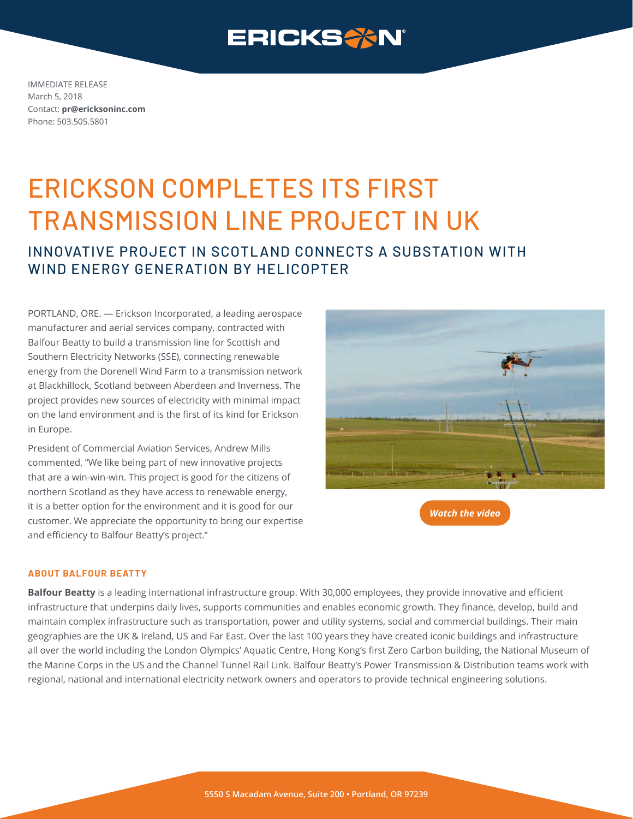

IMMEDIATE RELEASE March 5, 2018 Contact: **pr@ericksoninc.com** Phone: 503.505.5801

# ERICKSON COMPLETES ITS FIRST TRANSMISSION LINE PROJECT IN UK

### INNOVATIVE PROJECT IN SCOTL AND CONNECTS A SUBSTATION WITH WIND FNFRGY GENFRATION BY HELICOPTER

PORTLAND, ORE. — Erickson Incorporated, a leading aerospace manufacturer and aerial services company, contracted with Balfour Beatty to build a transmission line for Scottish and Southern Electricity Networks (SSE), connecting renewable energy from the Dorenell Wind Farm to a transmission network at Blackhillock, Scotland between Aberdeen and Inverness. The project provides new sources of electricity with minimal impact on the land environment and is the first of its kind for Erickson in Europe.

President of Commercial Aviation Services, Andrew Mills commented, "We like being part of new innovative projects that are a win-win-win. This project is good for the citizens of northern Scotland as they have access to renewable energy, it is a better option for the environment and it is good for our customer. We appreciate the opportunity to bring our expertise and efficiency to Balfour Beatty's project."



*[Watch the video](https://vimeo.com/256380941)*

#### **ABOUT BALFOUR BEATTY**

**[Balfour Beatty](http://balfourbeatty.com)** is a leading international infrastructure group. With 30,000 employees, they provide innovative and efficient infrastructure that underpins daily lives, supports communities and enables economic growth. They finance, develop, build and maintain complex infrastructure such as transportation, power and utility systems, social and commercial buildings. Their main geographies are the UK & Ireland, US and Far East. Over the last 100 years they have created iconic buildings and infrastructure all over the world including the London Olympics' Aquatic Centre, Hong Kong's first Zero Carbon building, the National Museum of the Marine Corps in the US and the Channel Tunnel Rail Link. Balfour Beatty's Power Transmission & Distribution teams work with regional, national and international electricity network owners and operators to provide technical engineering solutions.